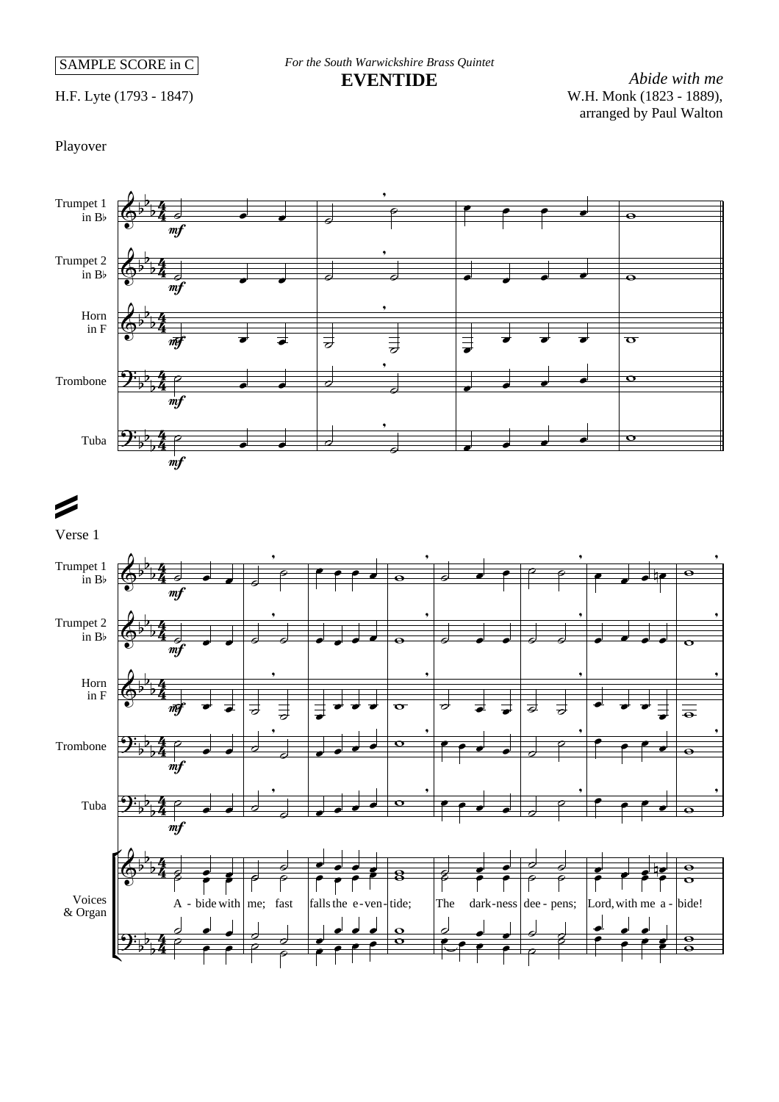SAMPLE SCORE in C

*For the South Warwickshire Brass Quintet* **EVENTIDE**

H.F. Lyte (1793 - 1847)

*Abide with me* W.H. Monk (1823 - 1889), arranged by Paul Walton

Playover

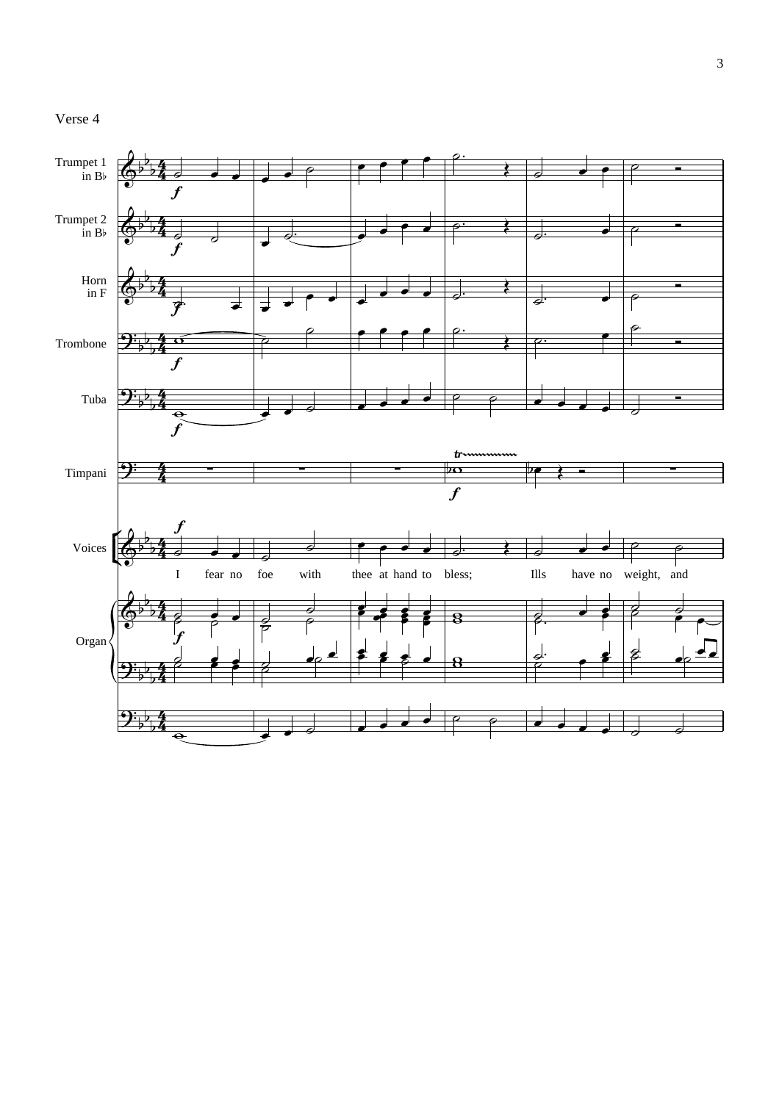## Verse 4

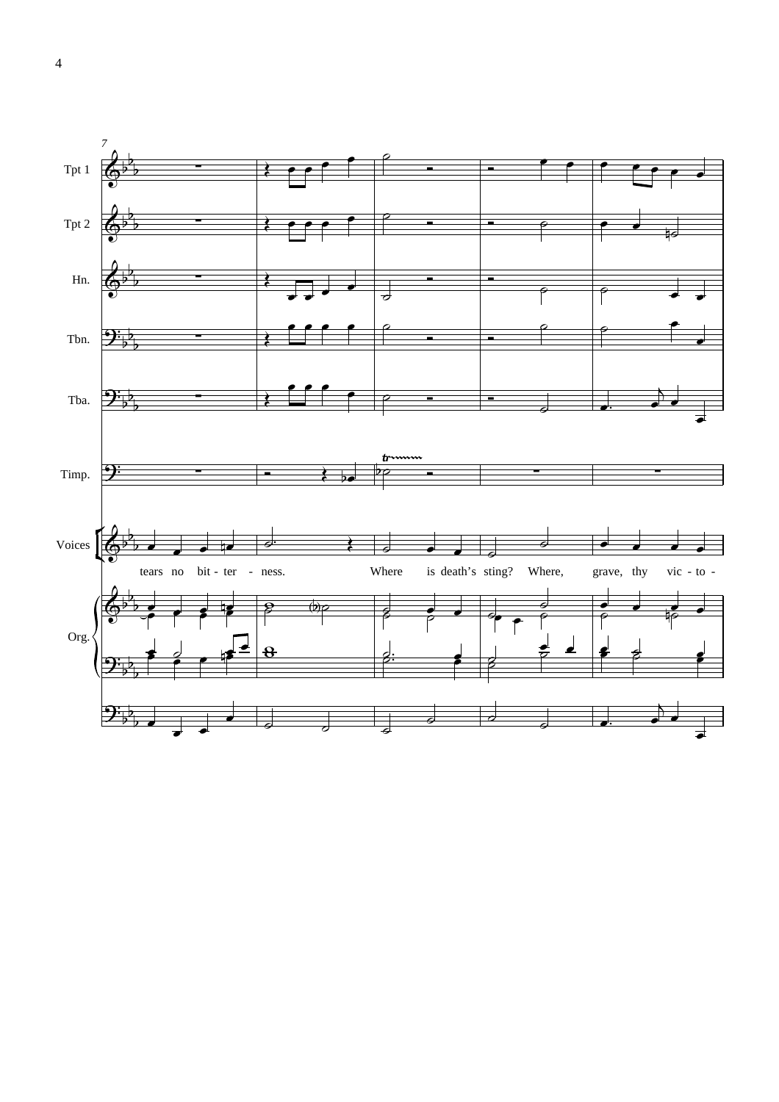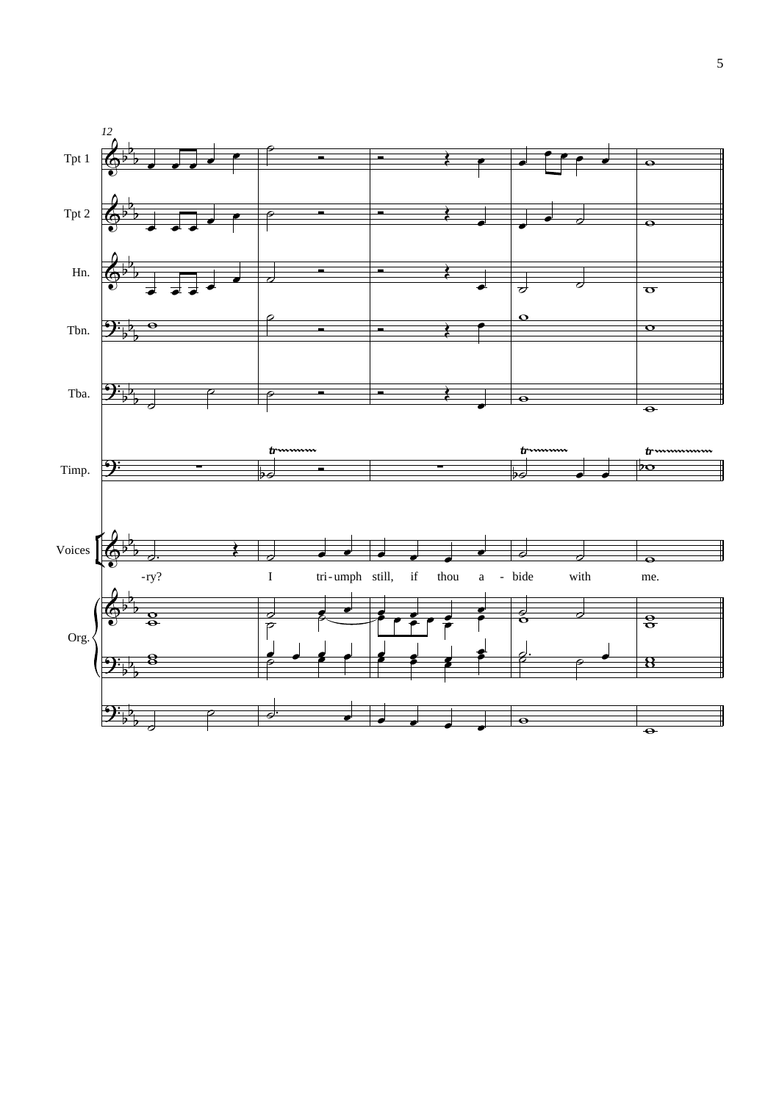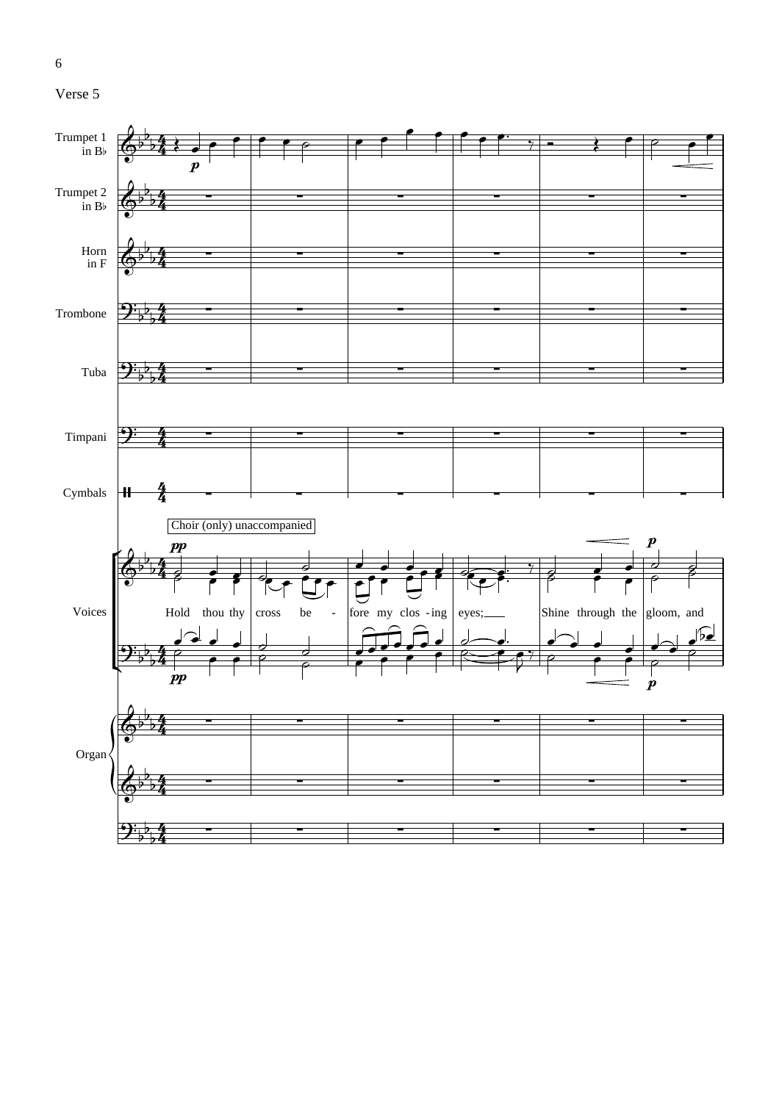



6